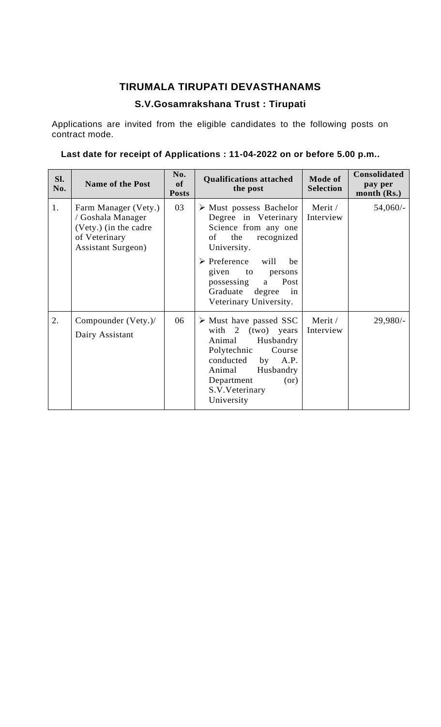## **TIRUMALA TIRUPATI DEVASTHANAMS**

# **S.V.Gosamrakshana Trust : Tirupati**

Applications are invited from the eligible candidates to the following posts on contract mode.

# **Last date for receipt of Applications : 11-04-2022 on or before 5.00 p.m..**

| Sl.<br>No. | <b>Name of the Post</b>                                                                                           | No.<br>of<br><b>Posts</b> | <b>Qualifications attached</b><br>the post                                                                                                                                                                                     | <b>Mode of</b><br><b>Selection</b> | <b>Consolidated</b><br>pay per<br>month (Rs.) |
|------------|-------------------------------------------------------------------------------------------------------------------|---------------------------|--------------------------------------------------------------------------------------------------------------------------------------------------------------------------------------------------------------------------------|------------------------------------|-----------------------------------------------|
| 1.         | Farm Manager (Vety.)<br>/ Goshala Manager<br>(Vety.) (in the cadre<br>of Veterinary<br><b>Assistant Surgeon</b> ) | 03                        | $\triangleright$ Must possess Bachelor<br>Degree in Veterinary<br>Science from any one<br>the<br>recognized<br>of<br>University.<br>$\triangleright$ Preference will<br>be                                                     | Merit /<br>Interview               | $54,060/-$                                    |
|            |                                                                                                                   |                           | given to<br>persons<br>Post<br>possessing<br>a<br>Graduate<br>degree<br>in<br>Veterinary University.                                                                                                                           |                                    |                                               |
| 2.         | Compounder (Vety.)/<br>Dairy Assistant                                                                            | 06                        | $\triangleright$ Must have passed SSC<br>with $2 \text{ (two)}$ years<br>Husbandry<br>Animal<br>Course<br>Polytechnic<br>conducted<br>A.P.<br>by<br>Animal<br>Husbandry<br>Department<br>(or)<br>S.V. Veterinary<br>University | Merit /<br>Interview               | $29,980/-$                                    |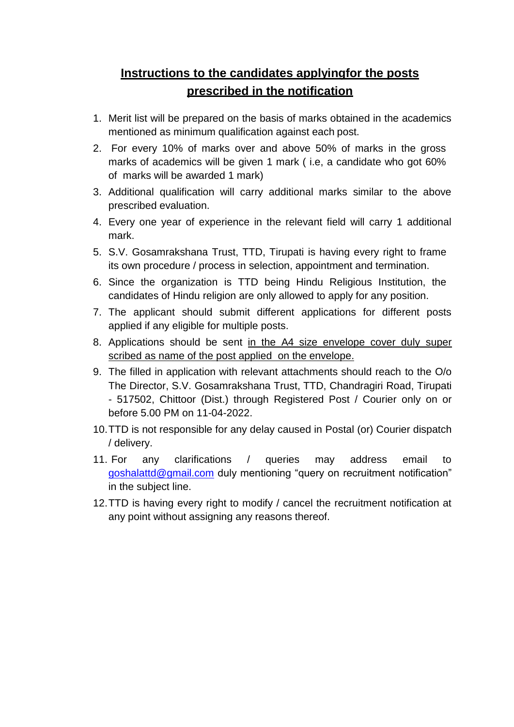# **Instructions to the candidates applyingfor the posts prescribed in the notification**

- 1. Merit list will be prepared on the basis of marks obtained in the academics mentioned as minimum qualification against each post.
- 2. For every 10% of marks over and above 50% of marks in the gross marks of academics will be given 1 mark ( i.e, a candidate who got 60% of marks will be awarded 1 mark)
- 3. Additional qualification will carry additional marks similar to the above prescribed evaluation.
- 4. Every one year of experience in the relevant field will carry 1 additional mark.
- 5. S.V. Gosamrakshana Trust, TTD, Tirupati is having every right to frame its own procedure / process in selection, appointment and termination.
- 6. Since the organization is TTD being Hindu Religious Institution, the candidates of Hindu religion are only allowed to apply for any position.
- 7. The applicant should submit different applications for different posts applied if any eligible for multiple posts.
- 8. Applications should be sent in the A4 size envelope cover duly super scribed as name of the post applied on the envelope.
- 9. The filled in application with relevant attachments should reach to the O/o The Director, S.V. Gosamrakshana Trust, TTD, Chandragiri Road, Tirupati - 517502, Chittoor (Dist.) through Registered Post / Courier only on or before 5.00 PM on 11-04-2022.
- 10.TTD is not responsible for any delay caused in Postal (or) Courier dispatch / delivery.
- 11. For any clarifications / queries may address email to [goshalattd@gmail.com](mailto:goshalattd@gmail.com) duly mentioning "query on recruitment notification" in the subject line.
- 12.TTD is having every right to modify / cancel the recruitment notification at any point without assigning any reasons thereof.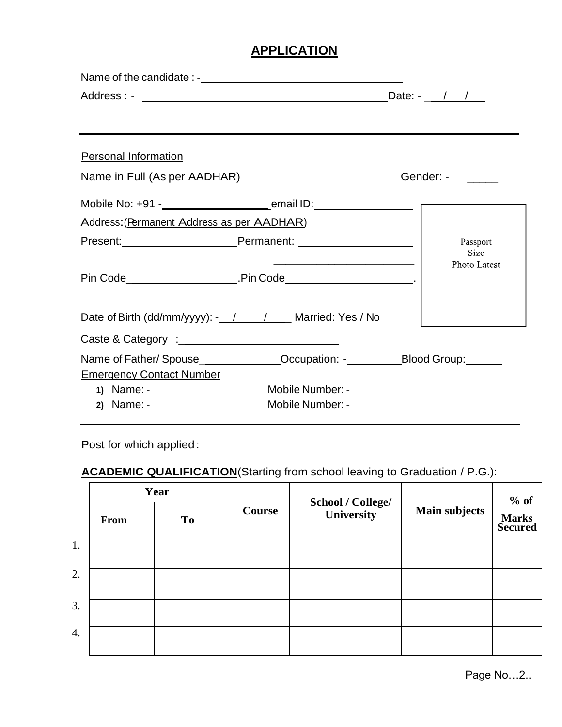## **APPLICATION**

| <b>Personal Information</b>                               |                                                                               |
|-----------------------------------------------------------|-------------------------------------------------------------------------------|
|                                                           | Name in Full (As per AADHAR) __________________________Gender: - _______      |
|                                                           |                                                                               |
| Address: (Permanent Address as per AADHAR)                |                                                                               |
| Present: Present: Permanent: Permanent: 2008              | Passport<br>Size                                                              |
|                                                           | Photo Latest                                                                  |
| Date of Birth (dd/mm/yyyy): - / / / _ / Married: Yes / No |                                                                               |
|                                                           |                                                                               |
| <b>Emergency Contact Number</b>                           | Name of Father/Spouse______________Occupation: -__________Blood Group:_______ |
|                                                           |                                                                               |
|                                                           |                                                                               |
|                                                           |                                                                               |

## Post for which applied:

# **ACADEMIC QUALIFICATION**(Starting from school leaving to Graduation / P.G.):

|                  | Year        |           |        | School / College/ |                      | $\%$ of                        |
|------------------|-------------|-----------|--------|-------------------|----------------------|--------------------------------|
|                  | <b>From</b> | <b>To</b> | Course | University        | <b>Main subjects</b> | <b>Marks</b><br><b>Secured</b> |
| 1.               |             |           |        |                   |                      |                                |
| 2.               |             |           |        |                   |                      |                                |
| 3.               |             |           |        |                   |                      |                                |
| $\overline{4}$ . |             |           |        |                   |                      |                                |

Page No…2..